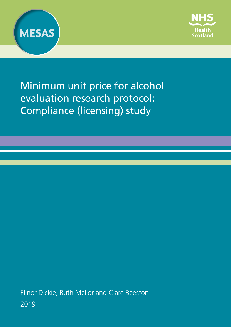



Minimum unit price for alcohol evaluation research protocol: Compliance (licensing) study

Elinor Dickie, Ruth Mellor and Clare Beeston 2019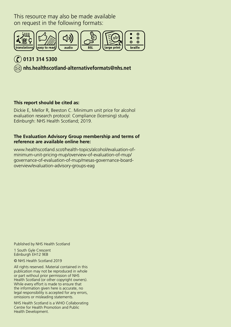This resource may also be made available on request in the following formats:



### **0131 314 5300**

 **[nhs.healthscotland-alternativeformats@nhs.net](mailto:nhs.healthscotland-alternativeformats%40nhs.net?subject=)**

#### **This report should be cited as:**

Dickie E, Mellor R, Beeston C. Minimum unit price for alcohol evaluation research protocol: Compliance (licensing) study. Edinburgh: NHS Health Scotland; 2019.

#### **The Evaluation Advisory Group membership and terms of reference are available online here:**

[www.healthscotland.scot/health-topics/alcohol/evaluation-of](www.healthscotland.scot/health-topics/alcohol/evaluation-of-minimum-unit-pricing-mup/overview-of-evaluation-of-mup/governance-of-evaluation-of-mup/mesas-governance-board-overview/evaluation-advisory-groups-eag)[minimum-unit-pricing-mup/overview-of-evaluation-of-mup/](www.healthscotland.scot/health-topics/alcohol/evaluation-of-minimum-unit-pricing-mup/overview-of-evaluation-of-mup/governance-of-evaluation-of-mup/mesas-governance-board-overview/evaluation-advisory-groups-eag) [governance-of-evaluation-of-mup/mesas-governance-board](www.healthscotland.scot/health-topics/alcohol/evaluation-of-minimum-unit-pricing-mup/overview-of-evaluation-of-mup/governance-of-evaluation-of-mup/mesas-governance-board-overview/evaluation-advisory-groups-eag)[overview/evaluation-advisory-groups-eag](www.healthscotland.scot/health-topics/alcohol/evaluation-of-minimum-unit-pricing-mup/overview-of-evaluation-of-mup/governance-of-evaluation-of-mup/mesas-governance-board-overview/evaluation-advisory-groups-eag)

Published by NHS Health Scotland

1 South Gyle Crescent Edinburgh EH12 9EB

© NHS Health Scotland 2019

All rights reserved. Material contained in this publication may not be reproduced in whole or part without prior permission of NHS Health Scotland (or other copyright owners). While every effort is made to ensure that the information given here is accurate, no legal responsibility is accepted for any errors, omissions or misleading statements.

NHS Health Scotland is a WHO Collaborating Centre for Health Promotion and Public Health Development.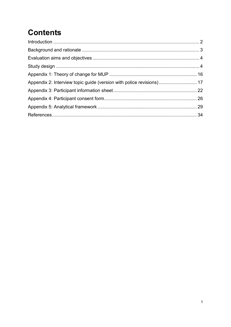# **Contents**

| Appendix 2: Interview topic guide (version with police revisions) 17 |
|----------------------------------------------------------------------|
|                                                                      |
|                                                                      |
|                                                                      |
|                                                                      |
|                                                                      |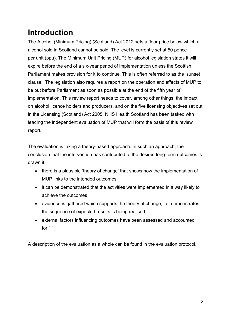## <span id="page-3-0"></span>**Introduction**

The Alcohol (Minimum Pricing) (Scotland) Act 2012 sets a floor price below which all alcohol sold in Scotland cannot be sold. The level is currently set at 50 pence per unit (ppu). The Minimum Unit Pricing (MUP) for alcohol legislation states it will expire before the end of a six-year period of implementation unless the Scottish Parliament makes provision for it to continue. This is often referred to as the 'sunset clause'. The legislation also requires a report on the operation and effects of MUP to be put before Parliament as soon as possible at the end of the fifth year of implementation. This review report needs to cover, among other things, the impact on alcohol licence holders and producers, and on the five licensing objectives set out in the Licensing (Scotland) Act 2005. NHS Health Scotland has been tasked with leading the independent evaluation of MUP that will form the basis of this review report.

The evaluation is taking a theory-based approach. In such an approach, the conclusion that the intervention has contributed to the desired long-term outcomes is drawn if:

- there is a plausible 'theory of change' that shows how the implementation of MUP links to the intended outcomes
- it can be demonstrated that the activities were implemented in a way likely to achieve the outcomes
- evidence is gathered which supports the theory of change, i.e. demonstrates the sequence of expected results is being realised
- external factors influencing outcomes have been assessed and accounted for.  $1, 2$  $1, 2$  $1, 2$

<span id="page-3-1"></span>A description of the evaluation as a whole can be found in the evaluation protocol.[3](#page-35-3)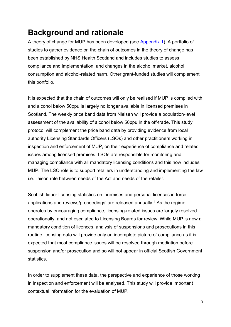## **Background and rationale**

A theory of change for MUP has been developed (see [Appendix 1\)](#page-17-0). A portfolio of studies to gather evidence on the chain of outcomes in the theory of change has been established by NHS Health Scotland and includes studies to assess compliance and implementation, and changes in the alcohol market, alcohol consumption and alcohol-related harm. Other grant-funded studies will complement this portfolio.

It is expected that the chain of outcomes will only be realised if MUP is complied with and alcohol below 50ppu is largely no longer available in licensed premises in Scotland. The weekly price band data from Nielsen will provide a population-level assessment of the availability of alcohol below 50ppu in the off-trade. This study protocol will complement the price band data by providing evidence from local authority Licensing Standards Officers (LSOs) and other practitioners working in inspection and enforcement of MUP, on their experience of compliance and related issues among licensed premises. LSOs are responsible for monitoring and managing compliance with all mandatory licensing conditions and this now includes MUP. The LSO role is to support retailers in understanding and implementing the law i.e. liaison role between needs of the Act and needs of the retailer.

Scottish liquor licensing statistics on 'premises and personal licences in force, applications and reviews/proceedings' are released annually. [4](#page-35-4) As the regime operates by encouraging compliance, licensing-related issues are largely resolved operationally, and not escalated to Licensing Boards for review. While MUP is now a mandatory condition of licences, analysis of suspensions and prosecutions in this routine licensing data will provide only an incomplete picture of compliance as it is expected that most compliance issues will be resolved through mediation before suspension and/or prosecution and so will not appear in official Scottish Government statistics.

In order to supplement these data, the perspective and experience of those working in inspection and enforcement will be analysed. This study will provide important contextual information for the evaluation of MUP.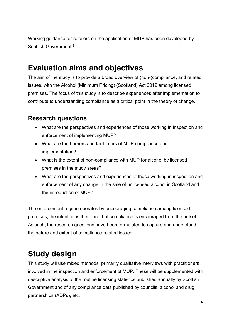Working guidance for retailers on the application of MUP has been developed by Scottish Government. [5](#page-35-5)

## <span id="page-5-0"></span>**Evaluation aims and objectives**

The aim of the study is to provide a broad overview of (non-)compliance, and related issues, with the Alcohol (Minimum Pricing) (Scotland) Act 2012 among licensed premises. The focus of this study is to describe experiences after implementation to contribute to understanding compliance as a critical point in the theory of change.

### **Research questions**

- What are the perspectives and experiences of those working in inspection and enforcement of implementing MUP?
- What are the barriers and facilitators of MUP compliance and implementation?
- What is the extent of non-compliance with MUP for alcohol by licensed premises in the study areas?
- What are the perspectives and experiences of those working in inspection and enforcement of any change in the sale of unlicensed alcohol in Scotland and the introduction of MUP?

The enforcement regime operates by encouraging compliance among licensed premises, the intention is therefore that compliance is encouraged from the outset. As such, the research questions have been formulated to capture and understand the nature and extent of compliance-related issues.

## <span id="page-5-1"></span>**Study design**

This study will use mixed methods, primarily qualitative interviews with practitioners involved in the inspection and enforcement of MUP. These will be supplemented with descriptive analysis of the routine licensing statistics published annually by Scottish Government and of any compliance data published by councils, alcohol and drug partnerships (ADPs), etc.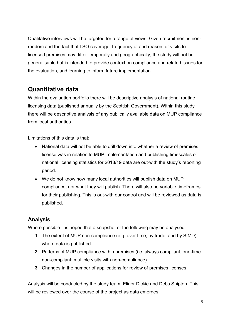Qualitative interviews will be targeted for a range of views. Given recruitment is nonrandom and the fact that LSO coverage, frequency of and reason for visits to licensed premises may differ temporally and geographically, the study will not be generalisable but is intended to provide context on compliance and related issues for the evaluation, and learning to inform future implementation.

### **Quantitative data**

Within the evaluation portfolio there will be descriptive analysis of national routine licensing data (published annually by the Scottish Government). Within this study there will be descriptive analysis of any publically available data on MUP compliance from local authorities.

Limitations of this data is that:

- National data will not be able to drill down into whether a review of premises license was in relation to MUP implementation and publishing timescales of national licensing statistics for 2018/19 data are out-with the study's reporting period.
- We do not know how many local authorities will publish data on MUP compliance, nor what they will publish. There will also be variable timeframes for their publishing. This is out-with our control and will be reviewed as data is published.

### **Analysis**

Where possible it is hoped that a snapshot of the following may be analysed:

- **1** The extent of MUP non-compliance (e.g. over time, by trade, and by SIMD) where data is published.
- **2** Patterns of MUP compliance within premises (i.e. always compliant; one-time non-compliant; multiple visits with non-compliance).
- **3** Changes in the number of applications for review of premises licenses.

Analysis will be conducted by the study team, Elinor Dickie and Debs Shipton. This will be reviewed over the course of the project as data emerges.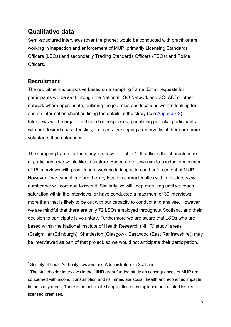### **Qualitative data**

Semi-structured interviews (over the phone) would be conducted with practitioners working in inspection and enforcement of MUP, primarily Licensing Standards Officers (LSOs) and secondarily Trading Standards Officers (TSOs) and Police Officers.

### **Recruitment**

<span id="page-7-0"></span>The recruitment is purposive based on a sampling frame. Email requests for participants will be sent through the National LSO Network and SOLAR[\\*](#page-7-2) or other network where appropriate, outlining the job roles and locations we are looking for and an information sheet outlining the details of the study (see [Appendix 2\)](#page-7-0). Interviews will be organised based on responses, prioritising potential participants with our desired characteristics, if necessary keeping a reserve list if there are more volunteers than categories.

The sampling frame for the study is shown in [Table 1.](#page-7-1) It outlines the characteristics of participants we would like to capture. Based on this we aim to conduct a minimum of 15 interviews with practitioners working in inspection and enforcement of MUP. However if we cannot capture the key location characteristics within this interview number we will continue to recruit. Similarly we will keep recruiting until we reach saturation within the interviews, or have conducted a maximum of 30 interviews: more than that is likely to be out with our capacity to conduct and analyse. However we are mindful that there are only 72 LSOs employed throughout Scotland, and their decision to participate is voluntary. Furthermore we are aware that LSOs who are based within the National Institute of Health Research (NIHR) study[†](#page-7-3) areas (Craigmillar (Edinburgh), Shettleston (Glasgow), Eastwood (East Renfrewshire)) may be interviewed as part of that project, so we would not anticipate their participation.

<span id="page-7-2"></span><span id="page-7-1"></span>**<sup>.</sup>** Society of Local Authority Lawyers and Administrators in Scotland.

<span id="page-7-3"></span><sup>†</sup> The stakeholder interviews in the NIHR grant-funded study on consequences of MUP are concerned with alcohol consumption and its immediate social, health and economic impacts in the study areas. There is no anticipated duplication on compliance and related issues in licensed premises.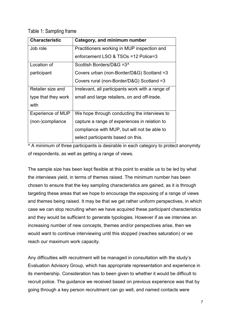Table 1: Sampling frame

| <b>Characteristic</b>    | Category, and minimum number                      |
|--------------------------|---------------------------------------------------|
| Job role                 | Practitioners working in MUP inspection and       |
|                          | enforcement LSO & TSOs =12 Police=3               |
| Location of              | Scottish Borders/D&G = 3 <sup>^</sup>             |
| participant              | Covers urban (non-Border/D&G) Scotland =3         |
|                          | Covers rural (non-Border/D&G) Scotland =3         |
| Retailer size and        | Irrelevant, all participants work with a range of |
| type that they work      | small and large retailers, on and off-trade.      |
| with                     |                                                   |
| <b>Experience of MUP</b> | We hope through conducting the interviews to      |
| (non-)compliance         | capture a range of experiences in relation to     |
|                          | compliance with MUP, but will not be able to      |
|                          | select participants based on this.                |

 $\overline{A}$  A minimum of three participants is desirable in each category to protect anonymity of respondents, as well as getting a range of views.

The sample size has been kept flexible at this point to enable us to be led by what the interviews yield, in terms of themes raised. The minimum number has been chosen to ensure that the key sampling characteristics are gained, as it is through targeting these areas that we hope to encourage the espousing of a range of views and themes being raised. It may be that we get rather uniform perspectives, in which case we can stop recruiting when we have acquired these participant characteristics and they would be sufficient to generate typologies. However if as we interview an increasing number of new concepts, themes and/or perspectives arise, then we would want to continue interviewing until this stopped (reaches saturation) or we reach our maximum work capacity.

Any difficulties with recruitment will be managed in consultation with the study's Evaluation Advisory Group, which has appropriate representation and experience in its membership. Consideration has to been given to whether it would be difficult to recruit police. The guidance we received based on previous experience was that by going through a key person recruitment can go well, and named contacts were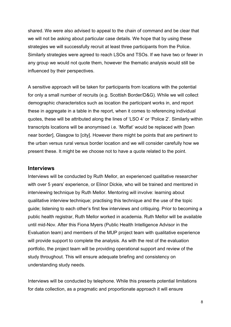shared. We were also advised to appeal to the chain of command and be clear that we will not be asking about particular case details. We hope that by using these strategies we will successfully recruit at least three participants from the Police. Similarly strategies were agreed to reach LSOs and TSOs. If we have two or fewer in any group we would not quote them, however the thematic analysis would still be influenced by their perspectives.

A sensitive approach will be taken for participants from locations with the potential for only a small number of recruits (e.g. Scottish Border/D&G). While we will collect demographic characteristics such as location the participant works in, and report these in aggregate in a table in the report, when it comes to referencing individual quotes, these will be attributed along the lines of 'LSO 4' or 'Police 2'. Similarly within transcripts locations will be anonymised i.e. 'Moffat' would be replaced with [town near border], Glasgow to [city]. However there might be points that are pertinent to the urban versus rural versus border location and we will consider carefully how we present these. It might be we choose not to have a quote related to the point.

#### **Interviews**

Interviews will be conducted by Ruth Mellor, an experienced qualitative researcher with over 5 years' experience, or Elinor Dickie, who will be trained and mentored in interviewing technique by Ruth Mellor. Mentoring will involve: learning about qualitative interview technique; practising this technique and the use of the topic guide; listening to each other's first few interviews and critiquing. Prior to becoming a public health registrar, Ruth Mellor worked in academia. Ruth Mellor will be available until mid-Nov. After this Fiona Myers (Public Health Intelligence Advisor in the Evaluation team) and members of the MUP project team with qualitative experience will provide support to complete the analysis. As with the rest of the evaluation portfolio, the project team will be providing operational support and review of the study throughout. This will ensure adequate briefing and consistency on understanding study needs.

Interviews will be conducted by telephone. While this presents potential limitations for data collection, as a pragmatic and proportionate approach it will ensure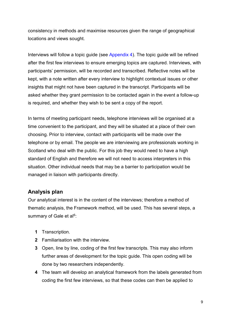consistency in methods and maximise resources given the range of geographical locations and views sought.

Interviews will follow a topic guide (see [Appendix 4\)](#page-27-0). The topic guide will be refined after the first few interviews to ensure emerging topics are captured. Interviews, with participants' permission, will be recorded and transcribed. Reflective notes will be kept, with a note written after every interview to highlight contextual issues or other insights that might not have been captured in the transcript. Participants will be asked whether they grant permission to be contacted again in the event a follow-up is required, and whether they wish to be sent a copy of the report.

In terms of meeting participant needs, telephone interviews will be organised at a time convenient to the participant, and they will be situated at a place of their own choosing. Prior to interview, contact with participants will be made over the telephone or by email. The people we are interviewing are professionals working in Scotland who deal with the public. For this job they would need to have a high standard of English and therefore we will not need to access interpreters in this situation. Other individual needs that may be a barrier to participation would be managed in liaison with participants directly.

### **Analysis plan**

Our analytical interest is in the content of the interviews; therefore a method of thematic analysis, the Framework method, will be used. This has several steps, a summary of Gale et al<sup>[6](#page-35-6)</sup>:

- **1** Transcription.
- **2** Familiarisation with the interview.
- **3** Open, line by line, coding of the first few transcripts. This may also inform further areas of development for the topic guide. This open coding will be done by two researchers independently.
- **4** The team will develop an analytical framework from the labels generated from coding the first few interviews, so that these codes can then be applied to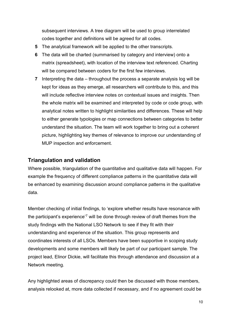subsequent interviews. A tree diagram will be used to group interrelated codes together and definitions will be agreed for all codes.

- **5** The analytical framework will be applied to the other transcripts.
- **6** The data will be charted (summarised by category and interview) onto a matrix (spreadsheet), with location of the interview text referenced. Charting will be compared between coders for the first few interviews.
- **7** Interpreting the data throughout the process a separate analysis log will be kept for ideas as they emerge, all researchers will contribute to this, and this will include reflective interview notes on contextual issues and insights. Then the whole matrix will be examined and interpreted by code or code group, with analytical notes written to highlight similarities and differences. These will help to either generate typologies or map connections between categories to better understand the situation. The team will work together to bring out a coherent picture, highlighting key themes of relevance to improve our understanding of MUP inspection and enforcement.

#### **Triangulation and validation**

Where possible, triangulation of the quantitative and qualitative data will happen. For example the frequency of different compliance patterns in the quantitative data will be enhanced by examining discussion around compliance patterns in the qualitative data.

Member checking of initial findings, to 'explore whether results have resonance with the participant's experience' [7](#page-35-7) will be done through review of draft themes from the study findings with the National LSO Network to see if they fit with their understanding and experience of the situation. This group represents and coordinates interests of all LSOs. Members have been supportive in scoping study developments and some members will likely be part of our participant sample. The project lead, Elinor Dickie, will facilitate this through attendance and discussion at a Network meeting.

Any highlighted areas of discrepancy could then be discussed with those members, analysis relooked at, more data collected if necessary, and if no agreement could be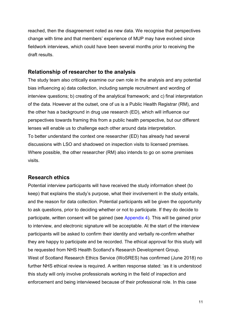reached, then the disagreement noted as new data. We recognise that perspectives change with time and that members' experience of MUP may have evolved since fieldwork interviews, which could have been several months prior to receiving the draft results.

### **Relationship of researcher to the analysis**

The study team also critically examine our own role in the analysis and any potential bias influencing a) data collection, including sample recruitment and wording of interview questions; b) creating of the analytical framework; and c) final interpretation of the data. However at the outset, one of us is a Public Health Registrar (RM), and the other has a background in drug use research (ED), which will influence our perspectives towards framing this from a public health perspective, but our different lenses will enable us to challenge each other around data interpretation. To better understand the context one researcher (ED) has already had several discussions with LSO and shadowed on inspection visits to licensed premises. Where possible, the other researcher (RM) also intends to go on some premises visits.

#### **Research ethics**

Potential interview participants will have received the study information sheet (to keep) that explains the study's purpose, what their involvement in the study entails, and the reason for data collection. Potential participants will be given the opportunity to ask questions, prior to deciding whether or not to participate. If they do decide to participate, written consent will be gained (see [Appendix 4\)](#page-27-0). This will be gained prior to interview, and electronic signature will be acceptable. At the start of the interview participants will be asked to confirm their identity and verbally re-confirm whether they are happy to participate and be recorded. The ethical approval for this study will be requested from NHS Health Scotland's Research Development Group. West of Scotland Research Ethics Service (WoSRES) has confirmed (June 2018) no further NHS ethical review is required. A written response stated: 'as it is understood this study will only involve professionals working in the field of inspection and enforcement and being interviewed because of their professional role. In this case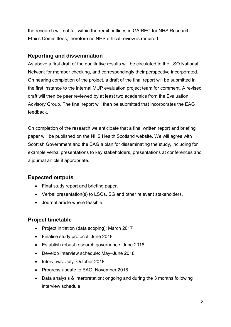the research will not fall within the remit outlines in GAfREC for NHS Research Ethics Committees, therefore no NHS ethical review is required.'

### **Reporting and dissemination**

As above a first draft of the qualitative results will be circulated to the LSO National Network for member checking, and correspondingly their perspective incorporated. On nearing completion of the project, a draft of the final report will be submitted in the first instance to the internal MUP evaluation project team for comment. A revised draft will then be peer reviewed by at least two academics from the Evaluation Advisory Group. The final report will then be submitted that incorporates the EAG feedback.

On completion of the research we anticipate that a final written report and briefing paper will be published on the NHS Health Scotland website. We will agree with Scottish Government and the EAG a plan for disseminating the study, including for example verbal presentations to key stakeholders, presentations at conferences and a journal article if appropriate.

### **Expected outputs**

- Final study report and briefing paper.
- Verbal presentation(s) to LSOs, SG and other relevant stakeholders.
- Journal article where feasible.

### **Project timetable**

- Project initiation (data scoping): March 2017
- Finalise study protocol: June 2018
- Establish robust research governance: June 2018
- Develop Interview schedule: May–June 2018
- Interviews: July–October 2018
- Progress update to EAG: November 2018
- Data analysis & interpretation: ongoing and during the 3 months following interview schedule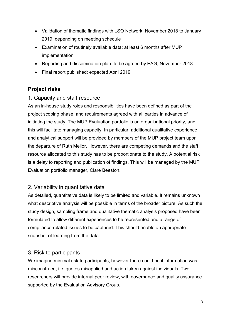- Validation of thematic findings with LSO Network: November 2018 to January 2019, depending on meeting schedule
- Examination of routinely available data: at least 6 months after MUP implementation
- Reporting and dissemination plan: to be agreed by EAG, November 2018
- Final report published: expected April 2019

### **Project risks**

### 1. Capacity and staff resource

As an in-house study roles and responsibilities have been defined as part of the project scoping phase, and requirements agreed with all parties in advance of initiating the study. The MUP Evaluation portfolio is an organisational priority, and this will facilitate managing capacity. In particular, additional qualitative experience and analytical support will be provided by members of the MUP project team upon the departure of Ruth Mellor. However, there are competing demands and the staff resource allocated to this study has to be proportionate to the study. A potential risk is a delay to reporting and publication of findings. This will be managed by the MUP Evaluation portfolio manager, Clare Beeston.

### 2. Variability in quantitative data

As detailed, quantitative data is likely to be limited and variable. It remains unknown what descriptive analysis will be possible in terms of the broader picture. As such the study design, sampling frame and qualitative thematic analysis proposed have been formulated to allow different experiences to be represented and a range of compliance-related issues to be captured. This should enable an appropriate snapshot of learning from the data.

### 3. Risk to participants

We imagine minimal risk to participants, however there could be if information was misconstrued, i.e. quotes misapplied and action taken against individuals. Two researchers will provide internal peer review, with governance and quality assurance supported by the Evaluation Advisory Group.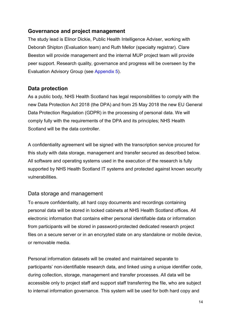### **Governance and project management**

The study lead is Elinor Dickie, Public Health Intelligence Adviser, working with Deborah Shipton (Evaluation team) and Ruth Mellor (specialty registrar). Clare Beeston will provide management and the internal MUP project team will provide peer support. Research quality, governance and progress will be overseen by the Evaluation Advisory Group (see [Appendix](file://hsvfls01/public/Collaboration/Marketing/Publishing/2019-20/Alcohol/MUP%20Compliance%20Report/3%20-%20During/Editorial/Edited/MUP%20Compliance%20licensing%20protocol%20-%20edited%20CR%20clean.docx) 5).

### **Data protection**

As a public body, NHS Health Scotland has legal responsibilities to comply with the new Data Protection Act 2018 (the DPA) and from 25 May 2018 the new EU General Data Protection Regulation (GDPR) in the processing of personal data. We will comply fully with the requirements of the DPA and its principles; NHS Health Scotland will be the data controller.

A confidentiality agreement will be signed with the transcription service procured for this study with data storage, management and transfer secured as described below. All software and operating systems used in the execution of the research is fully supported by NHS Health Scotland IT systems and protected against known security vulnerabilities.

### Data storage and management

To ensure confidentiality, all hard copy documents and recordings containing personal data will be stored in locked cabinets at NHS Health Scotland offices. All electronic information that contains either personal identifiable data or information from participants will be stored in password-protected dedicated research project files on a secure server or in an encrypted state on any standalone or mobile device, or removable media.

Personal information datasets will be created and maintained separate to participants' non-identifiable research data, and linked using a unique identifier code, during collection, storage, management and transfer processes. All data will be accessible only to project staff and support staff transferring the file, who are subject to internal information governance. This system will be used for both hard copy and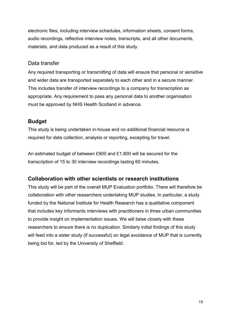electronic files, including interview schedules, information sheets, consent forms, audio recordings, reflective interview notes, transcripts, and all other documents, materials, and data produced as a result of this study.

#### Data transfer

Any required transporting or transmitting of data will ensure that personal or sensitive and wider data are transported separately to each other and in a secure manner. This includes transfer of interview recordings to a company for transcription as appropriate. Any requirement to pass any personal data to another organisation must be approved by NHS Health Scotland in advance.

### **Budget**

This study is being undertaken in-house and no additional financial resource is required for data collection, analysis or reporting, excepting for travel.

An estimated budget of between £900 and £1,800 will be secured for the transcription of 15 to 30 interview recordings lasting 60 minutes.

### **Collaboration with other scientists or research institutions**

This study will be part of the overall MUP Evaluation portfolio. There will therefore be collaboration with other researchers undertaking MUP studies. In particular, a study funded by the National Institute for Health Research has a qualitative component that includes key informants interviews with practitioners in three urban communities to provide insight on implementation issues. We will liaise closely with these researchers to ensure there is no duplication. Similarly initial findings of this study will feed into a sister study (if successful) on legal avoidance of MUP that is currently being bid for, led by the University of Sheffield.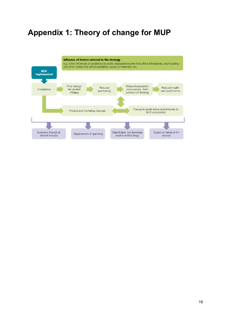## <span id="page-17-0"></span>**Appendix 1: Theory of change for MUP**

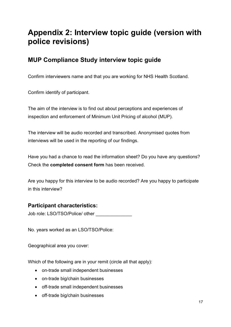## <span id="page-18-0"></span>**Appendix 2: Interview topic guide (version with police revisions)**

### **MUP Compliance Study interview topic guide**

Confirm interviewers name and that you are working for NHS Health Scotland.

Confirm identify of participant.

The aim of the interview is to find out about perceptions and experiences of inspection and enforcement of Minimum Unit Pricing of alcohol (MUP).

The interview will be audio recorded and transcribed. Anonymised quotes from interviews will be used in the reporting of our findings.

Have you had a chance to read the information sheet? Do you have any questions? Check the **completed consent form** has been received.

Are you happy for this interview to be audio recorded? Are you happy to participate in this interview?

### **Participant characteristics:**

Job role: LSO/TSO/Police/ other

No. years worked as an LSO/TSO/Police:

Geographical area you cover:

Which of the following are in your remit (circle all that apply):

- on-trade small independent businesses
- on-trade big/chain businesses
- off-trade small independent businesses
- off-trade big/chain businesses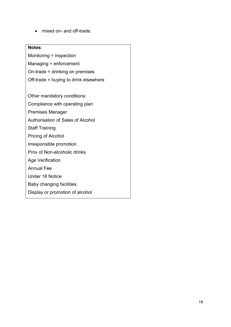• mixed on- and off-trade.

#### **Notes**:

Monitoring = inspection

- Managing = enforcement
- On-trade = drinking on premises
- Off-trade = buying to drink elsewhere

Other mandatory conditions:

Compliance with operating plan

- Premises Manager
- Authorisation of Sales of Alcohol
- Staff Training
- Pricing of Alcohol
- Irresponsible promotion
- Prov of Non-alcoholic drinks
- Age Verification
- Annual Fee
- Under 18 Notice
- Baby changing facilities
- Display or promotion of alcohol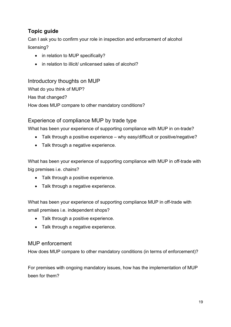### **Topic guide**

Can I ask you to confirm your role in inspection and enforcement of alcohol licensing?

- in relation to MUP specifically?
- in relation to illicit/ unlicensed sales of alcohol?

### Introductory thoughts on MUP

What do you think of MUP? Has that changed? How does MUP compare to other mandatory conditions?

### Experience of compliance MUP by trade type

What has been your experience of supporting compliance with MUP in on-trade?

- Talk through a positive experience why easy/difficult or positive/negative?
- Talk through a negative experience.

What has been your experience of supporting compliance with MUP in off-trade with big premises i.e. chains?

- Talk through a positive experience.
- Talk through a negative experience.

What has been your experience of supporting compliance MUP in off-trade with small premises i.e. independent shops?

- Talk through a positive experience.
- Talk through a negative experience.

#### MUP enforcement

How does MUP compare to other mandatory conditions (in terms of enforcement)?

For premises with ongoing mandatory issues, how has the implementation of MUP been for them?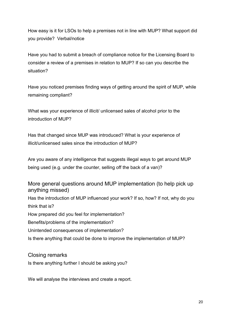How easy is it for LSOs to help a premises not in line with MUP? What support did you provide? Verbal/notice

Have you had to submit a breach of compliance notice for the Licensing Board to consider a review of a premises in relation to MUP? If so can you describe the situation?

Have you noticed premises finding ways of getting around the spirit of MUP, while remaining compliant?

What was your experience of illicit/ unlicensed sales of alcohol prior to the introduction of MUP?

Has that changed since MUP was introduced? What is your experience of illicit/unlicensed sales since the introduction of MUP?

Are you aware of any intelligence that suggests illegal ways to get around MUP being used (e.g. under the counter, selling off the back of a van)?

More general questions around MUP implementation (to help pick up anything missed) Has the introduction of MUP influenced your work? If so, how? If not, why do you think that is? How prepared did you feel for implementation? Benefits/problems of the implementation? Unintended consequences of implementation?

Is there anything that could be done to improve the implementation of MUP?

Closing remarks

Is there anything further I should be asking you?

We will analyse the interviews and create a report.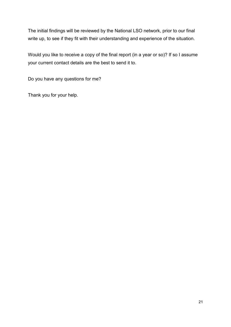The initial findings will be reviewed by the National LSO network, prior to our final write up, to see if they fit with their understanding and experience of the situation.

Would you like to receive a copy of the final report (in a year or so)? If so I assume your current contact details are the best to send it to.

Do you have any questions for me?

Thank you for your help.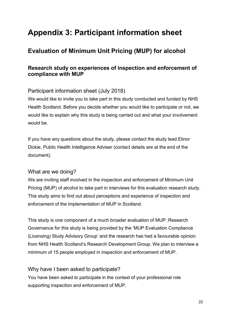## <span id="page-23-0"></span>**Appendix 3: Participant information sheet**

### **Evaluation of Minimum Unit Pricing (MUP) for alcohol**

### **Research study on experiences of inspection and enforcement of compliance with MUP**

### Participant information sheet (July 2018)

We would like to invite you to take part in this study conducted and funded by NHS Health Scotland. Before you decide whether you would like to participate or not, we would like to explain why this study is being carried out and what your involvement would be.

If you have any questions about the study, please contact the study lead Elinor Dickie, Public Health Intelligence Adviser (contact details are at the end of the document).

### What are we doing?

We are inviting staff involved in the inspection and enforcement of Minimum Unit Pricing (MUP) of alcohol to take part in interviews for this evaluation research study. This study aims to find out about perceptions and experience of inspection and enforcement of the implementation of MUP in Scotland.

This study is one component of a much broader evaluation of MUP. Research Governance for this study is being provided by the 'MUP Evaluation Compliance (Licensing) Study Advisory Group' and the research has had a favourable opinion from NHS Health Scotland's Research Development Group. We plan to interview a minimum of 15 people employed in inspection and enforcement of MUP.

### Why have I been asked to participate?

You have been asked to participate in the context of your professional role supporting inspection and enforcement of MUP.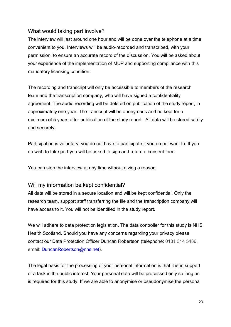### What would taking part involve?

The interview will last around one hour and will be done over the telephone at a time convenient to you. Interviews will be audio-recorded and transcribed, with your permission, to ensure an accurate record of the discussion. You will be asked about your experience of the implementation of MUP and supporting compliance with this mandatory licensing condition.

The recording and transcript will only be accessible to members of the research team and the transcription company, who will have signed a confidentiality agreement. The audio recording will be deleted on publication of the study report, in approximately one year. The transcript will be anonymous and be kept for a minimum of 5 years after publication of the study report. All data will be stored safely and securely.

Participation is voluntary; you do not have to participate if you do not want to. If you do wish to take part you will be asked to sign and return a consent form.

You can stop the interview at any time without giving a reason.

#### Will my information be kept confidential?

All data will be stored in a secure location and will be kept confidential. Only the research team, support staff transferring the file and the transcription company will have access to it. You will not be identified in the study report.

We will adhere to data protection legislation. The data controller for this study is NHS Health Scotland. Should you have any concerns regarding your privacy please contact our Data Protection Officer Duncan Robertson (telephone: 0131 314 5436. email: [DuncanRobertson@nhs.net\)](mailto:DuncanRobertson@nhs.net).

The legal basis for the processing of your personal information is that it is in support of a task in the public interest. Your personal data will be processed only so long as is required for this study. If we are able to anonymise or pseudonymise the personal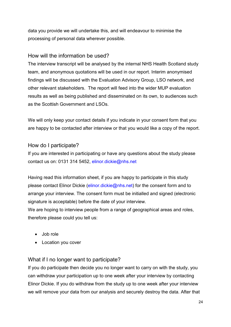data you provide we will undertake this, and will endeavour to minimise the processing of personal data wherever possible.

### How will the information be used?

The interview transcript will be analysed by the internal NHS Health Scotland study team, and anonymous quotations will be used in our report. Interim anonymised findings will be discussed with the Evaluation Advisory Group, LSO network, and other relevant stakeholders. The report will feed into the wider MUP evaluation results as well as being published and disseminated on its own, to audiences such as the Scottish Government and LSOs.

We will only keep your contact details if you indicate in your consent form that you are happy to be contacted after interview or that you would like a copy of the report.

### How do I participate?

If you are interested in participating or have any questions about the study please contact us on: 0131 314 5452, [elinor.dickie@nhs.net](mailto:elinor.dickie@nhs.net)

Having read this information sheet, if you are happy to participate in this study please contact Elinor Dickie [\(elinor.dickie@nhs.net\)](mailto:elinor.dickie@nhs.net) for the consent form and to arrange your interview. The consent form must be initialled and signed (electronic signature is acceptable) before the date of your interview.

We are hoping to interview people from a range of geographical areas and roles, therefore please could you tell us:

- Job role
- Location you cover

### What if I no longer want to participate?

If you do participate then decide you no longer want to carry on with the study, you can withdraw your participation up to one week after your interview by contacting Elinor Dickie. If you do withdraw from the study up to one week after your interview we will remove your data from our analysis and securely destroy the data. After that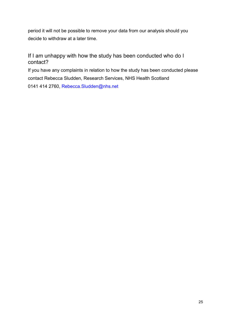period it will not be possible to remove your data from our analysis should you decide to withdraw at a later time.

### If I am unhappy with how the study has been conducted who do I contact?

If you have any complaints in relation to how the study has been conducted please contact Rebecca Sludden, Research Services, NHS Health Scotland 0141 414 2760, [Rebecca.Sludden@nhs.net](mailto:Rebecca.Sludden@nhs.net)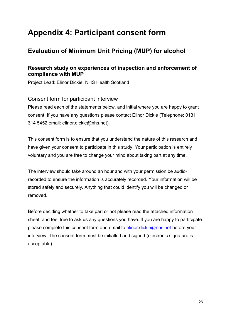## <span id="page-27-0"></span>**Appendix 4: Participant consent form**

### **Evaluation of Minimum Unit Pricing (MUP) for alcohol**

### **Research study on experiences of inspection and enforcement of compliance with MUP**

Project Lead: Elinor Dickie, NHS Health Scotland

Consent form for participant interview

Please read each of the statements below, and initial where you are happy to grant consent. If you have any questions please contact Elinor Dickie (Telephone: 0131 314 5452 email: elinor.dickie@nhs.net).

This consent form is to ensure that you understand the nature of this research and have given your consent to participate in this study. Your participation is entirely voluntary and you are free to change your mind about taking part at any time.

The interview should take around an hour and with your permission be audiorecorded to ensure the information is accurately recorded. Your information will be stored safely and securely. Anything that could identify you will be changed or removed.

Before deciding whether to take part or not please read the attached information sheet, and feel free to ask us any questions you have. If you are happy to participate please complete this consent form and email to [elinor.dickie@nhs.net](mailto:elinor.dickie@nhs.net) before your interview. The consent form must be initialled and signed (electronic signature is acceptable).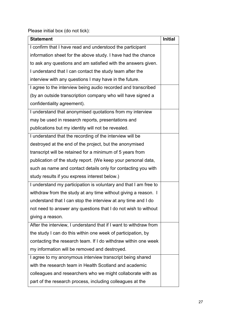Please initial box (do not tick):

| <b>Statement</b>                                                  | <b>Initial</b> |
|-------------------------------------------------------------------|----------------|
| I confirm that I have read and understood the participant         |                |
| information sheet for the above study. I have had the chance      |                |
| to ask any questions and am satisfied with the answers given.     |                |
| I understand that I can contact the study team after the          |                |
| interview with any questions I may have in the future.            |                |
| I agree to the interview being audio recorded and transcribed     |                |
| (by an outside transcription company who will have signed a       |                |
| confidentiality agreement).                                       |                |
| I understand that anonymised quotations from my interview         |                |
| may be used in research reports, presentations and                |                |
| publications but my identity will not be revealed.                |                |
| I understand that the recording of the interview will be          |                |
| destroyed at the end of the project, but the anonymised           |                |
| transcript will be retained for a minimum of 5 years from         |                |
| publication of the study report. (We keep your personal data,     |                |
| such as name and contact details only for contacting you with     |                |
| study results if you express interest below.)                     |                |
| I understand my participation is voluntary and that I am free to  |                |
| withdraw from the study at any time without giving a reason. I    |                |
| understand that I can stop the interview at any time and I do     |                |
| not need to answer any questions that I do not wish to without    |                |
| giving a reason.                                                  |                |
| After the interview, I understand that if I want to withdraw from |                |
| the study I can do this within one week of participation, by      |                |
| contacting the research team. If I do withdraw within one week    |                |
| my information will be removed and destroyed.                     |                |
| I agree to my anonymous interview transcript being shared         |                |
| with the research team in Health Scotland and academic            |                |
| colleagues and researchers who we might collaborate with as       |                |
| part of the research process, including colleagues at the         |                |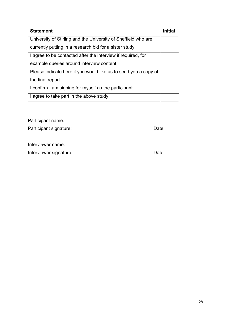| <b>Statement</b>                                                | <b>Initial</b> |
|-----------------------------------------------------------------|----------------|
| University of Stirling and the University of Sheffield who are  |                |
| currently putting in a research bid for a sister study.         |                |
| I agree to be contacted after the interview if required, for    |                |
| example queries around interview content.                       |                |
| Please indicate here if you would like us to send you a copy of |                |
| the final report.                                               |                |
| I confirm I am signing for myself as the participant.           |                |
| I agree to take part in the above study.                        |                |

Participant name:

Participant signature: Date: Date: Date: Date: Date: Date: Date: Date: Date: Date: Date: Date: Date: Date: Date:  $\overline{D}$ 

Interviewer name:

Interviewer signature: **Date:** Date: Date: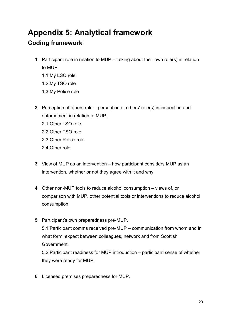## <span id="page-30-0"></span>**Appendix 5: Analytical framework Coding framework**

- **1** Participant role in relation to MUP talking about their own role(s) in relation to MUP.
	- 1.1 My LSO role
	- 1.2 My TSO role
	- 1.3 My Police role
- **2** Perception of others role perception of others' role(s) in inspection and enforcement in relation to MUP.
	- 2.1 Other LSO role
	- 2.2 Other TSO role
	- 2.3 Other Police role
	- 2.4 Other role
- **3** View of MUP as an intervention how participant considers MUP as an intervention, whether or not they agree with it and why.
- **4** Other non-MUP tools to reduce alcohol consumption views of, or comparison with MUP, other potential tools or interventions to reduce alcohol consumption.
- **5** Participant's own preparedness pre-MUP. 5.1 Participant comms received pre-MUP – communication from whom and in what form, expect between colleagues, network and from Scottish Government.

5.2 Participant readiness for MUP introduction – participant sense of whether they were ready for MUP.

**6** Licensed premises preparedness for MUP.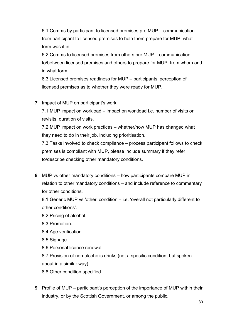6.1 Comms by participant to licensed premises pre MUP – communication from participant to licensed premises to help them prepare for MUP, what form was it in.

6.2 Comms to licensed premises from others pre MUP – communication to/between licensed premises and others to prepare for MUP, from whom and in what form.

6.3 Licensed premises readiness for MUP – participants' perception of licensed premises as to whether they were ready for MUP.

#### **7** Impact of MUP on participant's work.

7.1 MUP impact on workload – impact on workload i.e. number of visits or revisits, duration of visits.

7.2 MUP impact on work practices – whether/how MUP has changed what they need to do in their job, including prioritisation.

7.3 Tasks involved to check compliance – process participant follows to check premises is compliant with MUP, please include summary if they refer to/describe checking other mandatory conditions.

**8** MUP vs other mandatory conditions – how participants compare MUP in relation to other mandatory conditions – and include reference to commentary for other conditions.

8.1 Generic MUP vs 'other' condition – i.e. 'overall not particularly different to other conditions'.

- 8.2 Pricing of alcohol.
- 8.3 Promotion.
- 8.4 Age verification.
- 8.5 Signage.
- 8.6 Personal licence renewal.

8.7 Provision of non-alcoholic drinks (not a specific condition, but spoken about in a similar way).

8.8 Other condition specified.

**9** Profile of MUP – participant's perception of the importance of MUP within their industry, or by the Scottish Government, or among the public.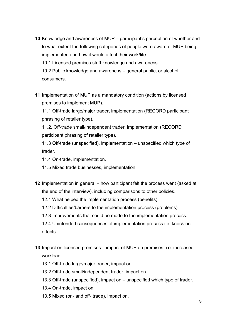- **10** Knowledge and awareness of MUP participant's perception of whether and to what extent the following categories of people were aware of MUP being implemented and how it would affect their work/life. 10.1 Licensed premises staff knowledge and awareness. 10.2 Public knowledge and awareness – general public, or alcohol consumers.
- **11** Implementation of MUP as a mandatory condition (actions by licensed premises to implement MUP).

11.1 Off-trade large/major trader, implementation (RECORD participant phrasing of retailer type).

11.2. Off-trade small/independent trader, implementation (RECORD participant phrasing of retailer type).

11.3 Off-trade (unspecified), implementation – unspecified which type of trader.

11.4 On-trade, implementation.

- 11.5 Mixed trade businesses, implementation.
- **12** Implementation in general how participant felt the process went (asked at the end of the interview), including comparisons to other policies.
	- 12.1 What helped the implementation process (benefits).
	- 12.2 Difficulties/barriers to the implementation process (problems).
	- 12.3 Improvements that could be made to the implementation process.

12.4 Unintended consequences of implementation process i.e. knock-on effects.

- **13** Impact on licensed premises impact of MUP on premises, i.e. increased workload.
	- 13.1 Off-trade large/major trader, impact on.
	- 13.2 Off-trade small/independent trader, impact on.
	- 13.3 Off-trade (unspecified), impact on unspecified which type of trader.
	- 13.4 On-trade, impact on.
	- 13.5 Mixed (on- and off- trade), impact on.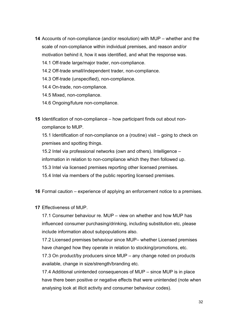- **14** Accounts of non-compliance (and/or resolution) with MUP whether and the scale of non-compliance within individual premises, and reason and/or motivation behind it, how it was identified, and what the response was.
	- 14.1 Off-trade large/major trader, non-compliance.
	- 14.2 Off-trade small/independent trader, non-compliance.
	- 14.3 Off-trade (unspecified), non-compliance.
	- 14.4 On-trade, non-compliance.
	- 14.5 Mixed, non-compliance.
	- 14.6 Ongoing/future non-compliance.
- **15** Identification of non-compliance how participant finds out about noncompliance to MUP.

15.1 Identification of non-compliance on a (routine) visit – going to check on premises and spotting things.

15.2 Intel via professional networks (own and others). Intelligence –

information in relation to non-compliance which they then followed up.

15.3 Intel via licensed premises reporting other licensed premises.

15.4 Intel via members of the public reporting licensed premises.

**16** Formal caution – experience of applying an enforcement notice to a premises.

**17** Effectiveness of MUP.

17.1 Consumer behaviour re. MUP – view on whether and how MUP has influenced consumer purchasing/drinking, including substitution etc, please include information about subpopulations also.

17.2 Licensed premises behaviour since MUP– whether Licensed premises have changed how they operate in relation to stocking/promotions, etc.

17.3 On product/by producers since MUP – any change noted on products available, change in size/strength/branding etc.

17.4 Additional unintended consequences of MUP – since MUP is in place have there been positive or negative effects that were unintended (note when analysing look at illicit activity and consumer behaviour codes).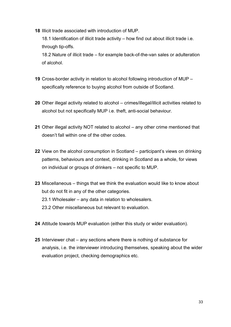**18** Illicit trade associated with introduction of MUP.

18.1 Identification of illicit trade activity – how find out about illicit trade i.e. through tip-offs.

18.2 Nature of illicit trade – for example back-of-the-van sales or adulteration of alcohol.

- **19** Cross-border activity in relation to alcohol following introduction of MUP specifically reference to buying alcohol from outside of Scotland.
- **20** Other illegal activity related to alcohol crimes/illegal/illicit activities related to alcohol but not specifically MUP i.e. theft, anti-social behaviour.
- **21** Other illegal activity NOT related to alcohol any other crime mentioned that doesn't fall within one of the other codes.
- **22** View on the alcohol consumption in Scotland participant's views on drinking patterns, behaviours and context, drinking in Scotland as a whole, for views on individual or groups of drinkers – not specific to MUP.
- **23** Miscellaneous things that we think the evaluation would like to know about but do not fit in any of the other categories. 23.1 Wholesaler – any data in relation to wholesalers. 23.2 Other miscellaneous but relevant to evaluation.
- **24** Attitude towards MUP evaluation (either this study or wider evaluation).
- **25** Interviewer chat any sections where there is nothing of substance for analysis, i.e. the interviewer introducing themselves, speaking about the wider evaluation project, checking demographics etc.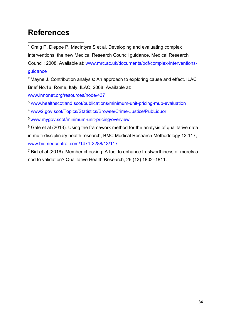## <span id="page-35-0"></span>**References**

<span id="page-35-1"></span><sup>1</sup> Craig P, Dieppe P, MacIntyre S et al. Developing and evaluating complex interventions: the new Medical Research Council guidance. Medical Research Council; 2008. Available at: [www.mrc.ac.uk/documents/pdf/complex-interventions](http://www.mrc.ac.uk/documents/pdf/complex-interventions-guidance)[guidance](http://www.mrc.ac.uk/documents/pdf/complex-interventions-guidance)  $\overline{a}$ 

<span id="page-35-2"></span><sup>2</sup> Mayne J. Contribution analysis: An approach to exploring cause and effect. ILAC Brief No.16. Rome, Italy: ILAC; 2008. Available at:

[www.innonet.org/resources/node/437](http://www.innonet.org/resources/node/437)

<span id="page-35-3"></span><sup>3</sup> [www.healthscotland.scot/publications/minimum-unit-pricing-mup-evaluation](http://www.healthscotland.scot/publications/minimum-unit-pricing-mup-evaluation)

<span id="page-35-4"></span><sup>4</sup> [www2.gov.scot/Topics/Statistics/Browse/Crime-Justice/PubLiquor](https://www2.gov.scot/Topics/Statistics/Browse/Crime-Justice/PubLiquor)

<span id="page-35-5"></span><sup>5</sup> [www.mygov.scot/minimum-unit-pricing/overview](http://www.mygov.scot/minimum-unit-pricing/overview)

<span id="page-35-6"></span> $6$  Gale et al (2013). Using the framework method for the analysis of qualitative data in multi-disciplinary health research, BMC Medical Research Methodology 13:117, [www.biomedcentral.com/1471-2288/13/117](http://www.biomedcentral.com/1471-2288/13/117)

<span id="page-35-7"></span> $7$  Birt et al (2016). Member checking: A tool to enhance trustworthiness or merely a nod to validation? Qualitative Health Research, 26 (13) 1802–1811.